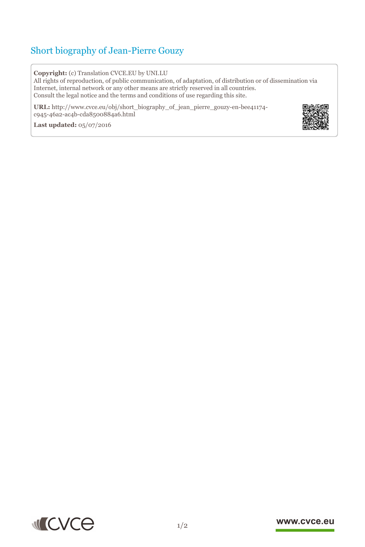## Short biography of Jean-Pierre Gouzy

**Copyright:** (c) Translation CVCE.EU by UNI.LU

All rights of reproduction, of public communication, of adaptation, of distribution or of dissemination via Internet, internal network or any other means are strictly reserved in all countries. Consult the legal notice and the terms and conditions of use regarding this site.

**URL:** http://www.cvce.eu/obj/short\_biography\_of\_jean\_pierre\_gouzy-en-bee41174 c945-46a[2-ac4b-cda8500884a6.html](http://www.cvce.eu/obj/short_biography_of_jean_pierre_gouzy-en-bee41174-c945-46a2-ac4b-cda8500884a6.html)

**Las[t updated:](http://www.cvce.eu/obj/short_biography_of_jean_pierre_gouzy-en-bee41174-c945-46a2-ac4b-cda8500884a6.html)** 05/07/2016